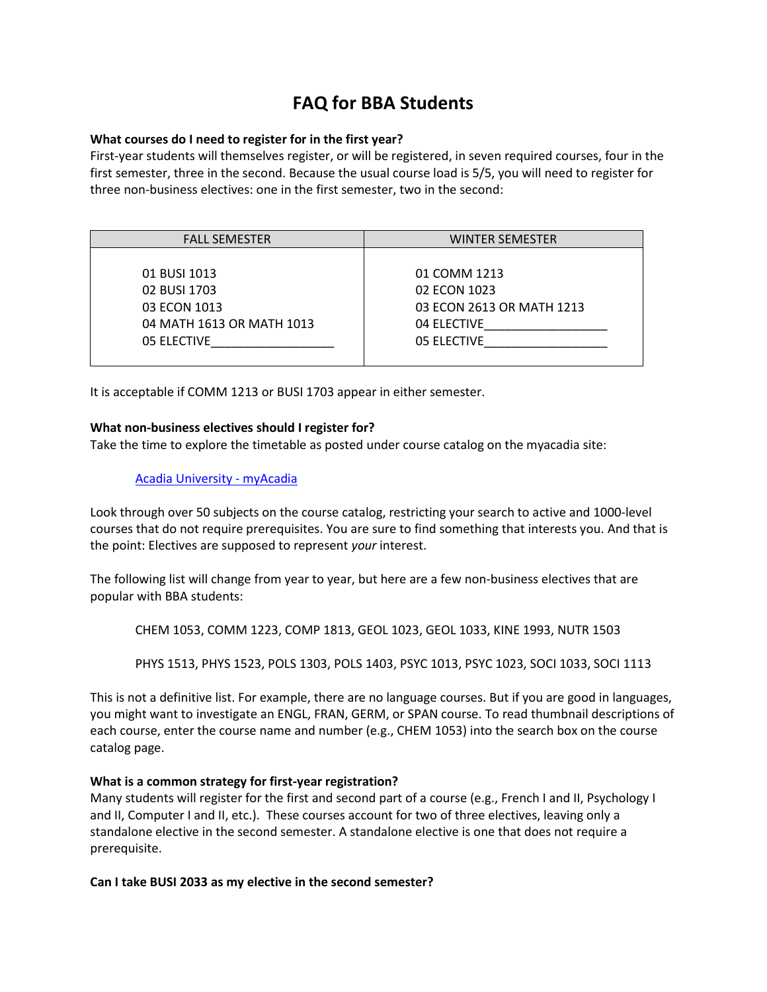# **FAQ for BBA Students**

#### **What courses do I need to register for in the first year?**

First-year students will themselves register, or will be registered, in seven required courses, four in the first semester, three in the second. Because the usual course load is 5/5, you will need to register for three non-business electives: one in the first semester, two in the second:

| <b>FALL SEMESTER</b>      | <b>WINTER SEMESTER</b>    |
|---------------------------|---------------------------|
|                           |                           |
| 01 BUSI 1013              | 01 COMM 1213              |
| 02 BUSI 1703              | 02 ECON 1023              |
| 03 ECON 1013              | 03 ECON 2613 OR MATH 1213 |
| 04 MATH 1613 OR MATH 1013 | 04 ELECTIVE               |
| 05 ELECTIVE               | 05 ELECTIVE               |
|                           |                           |

It is acceptable if COMM 1213 or BUSI 1703 appear in either semester.

#### **What non-business electives should I register for?**

Take the time to explore the timetable as posted under course catalog on the myacadia site:

## [Acadia University -](https://www2.acadiau.ca/myacadia.html) myAcadia

Look through over 50 subjects on the course catalog, restricting your search to active and 1000-level courses that do not require prerequisites. You are sure to find something that interests you. And that is the point: Electives are supposed to represent *your* interest.

The following list will change from year to year, but here are a few non-business electives that are popular with BBA students:

CHEM 1053, COMM 1223, COMP 1813, GEOL 1023, GEOL 1033, KINE 1993, NUTR 1503

PHYS 1513, PHYS 1523, POLS 1303, POLS 1403, PSYC 1013, PSYC 1023, SOCI 1033, SOCI 1113

This is not a definitive list. For example, there are no language courses. But if you are good in languages, you might want to investigate an ENGL, FRAN, GERM, or SPAN course. To read thumbnail descriptions of each course, enter the course name and number (e.g., CHEM 1053) into the search box on the course catalog page.

#### **What is a common strategy for first-year registration?**

Many students will register for the first and second part of a course (e.g., French I and II, Psychology I and II, Computer I and II, etc.). These courses account for two of three electives, leaving only a standalone elective in the second semester. A standalone elective is one that does not require a prerequisite.

**Can I take BUSI 2033 as my elective in the second semester?**